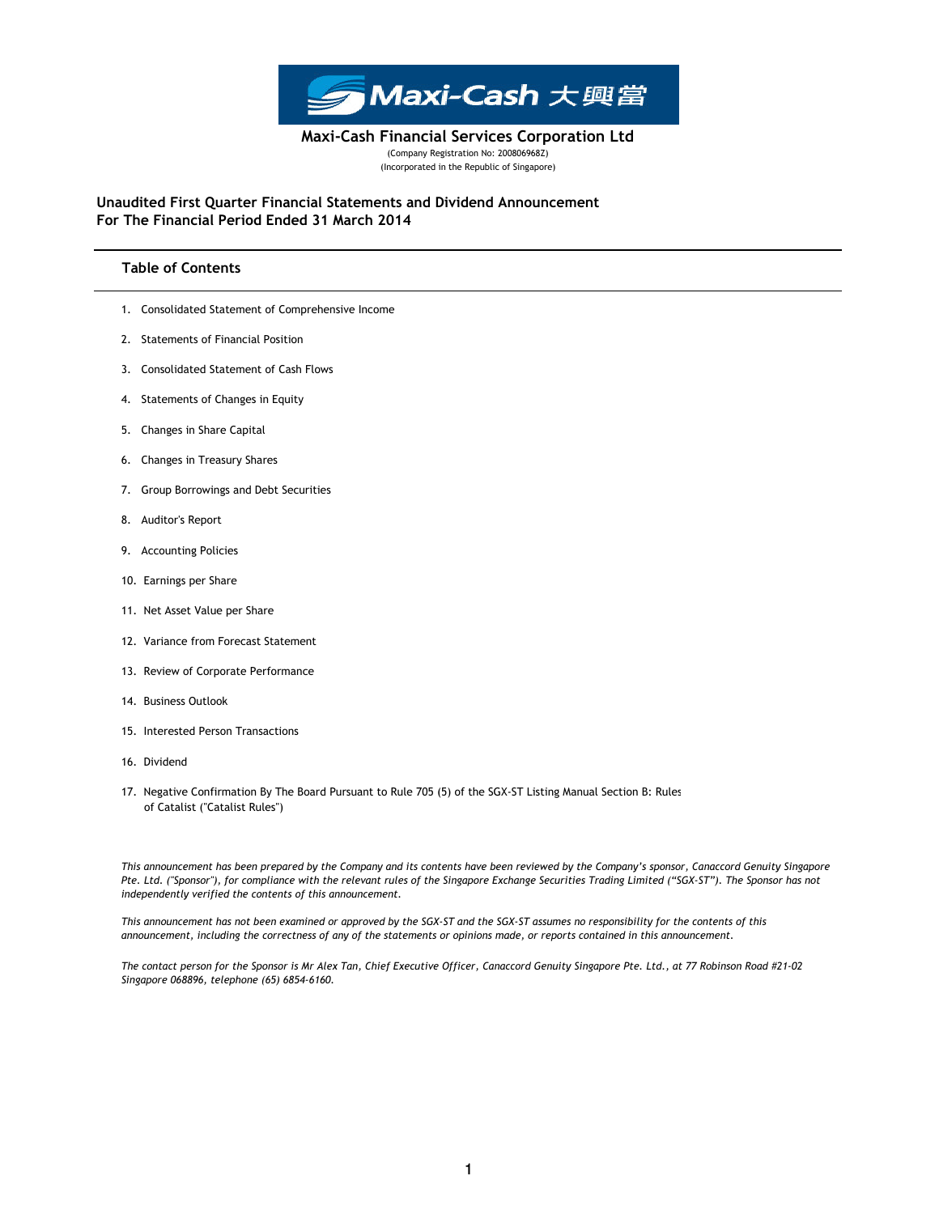

(Company Registration No: 200806968Z) (Incorporated in the Republic of Singapore) Maxi-Cash Financial Services Corporation Ltd

For The Financial Period Ended 31 March 2014 Unaudited First Quarter Financial Statements and Dividend Announcement

# Table of Contents

- 1. Consolidated Statement of Comprehensive Income
- 2. Statements of Financial Position
- 3. Consolidated Statement of Cash Flows
- 4. Statements of Changes in Equity
- 5. Changes in Share Capital
- 6. Changes in Treasury Shares
- 7. Group Borrowings and Debt Securities
- 8. Auditor's Report
- 9. Accounting Policies
- 10. Earnings per Share
- 11. Net Asset Value per Share
- 12. Variance from Forecast Statement
- 13. Review of Corporate Performance
- 14. Business Outlook
- 15. Interested Person Transactions
- 16. Dividend
- 17. Negative Confirmation By The Board Pursuant to Rule 705 (5) of the SGX-ST Listing Manual Section B: Rules of Catalist ("Catalist Rules")

This announcement has been prepared by the Company and its contents have been reviewed by the Company's sponsor, Canaccord Genuity Singapore Pte. Ltd. ("Sponsor"), for compliance with the relevant rules of the Singapore Exchange Securities Trading Limited ("SGX-ST"). The Sponsor has not independently verified the contents of this announcement.

This announcement has not been examined or approved by the SGX-ST and the SGX-ST assumes no responsibility for the contents of this announcement, including the correctness of any of the statements or opinions made, or reports contained in this announcement.

The contact person for the Sponsor is Mr Alex Tan, Chief Executive Officer, Canaccord Genuity Singapore Pte. Ltd., at 77 Robinson Road #21-02 Singapore 068896, telephone (65) 6854-6160.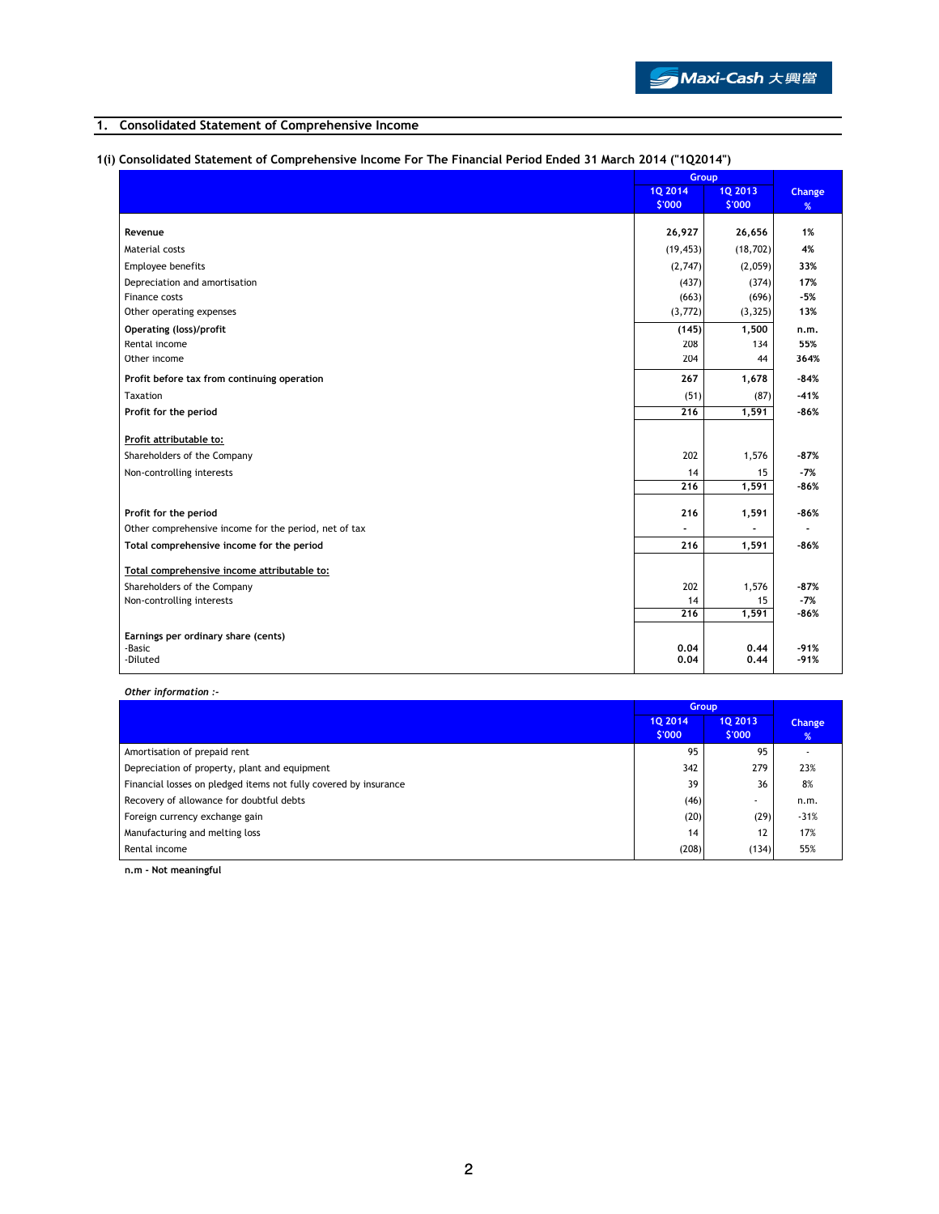# 1. Consolidated Statement of Comprehensive Income

# 1(i) Consolidated Statement of Comprehensive Income For The Financial Period Ended 31 March 2014 ("1Q2014")

|                                                       | Group                    |                          |             |
|-------------------------------------------------------|--------------------------|--------------------------|-------------|
|                                                       | <b>1Q 2014</b><br>\$'000 | <b>1Q 2013</b><br>\$'000 | Change<br>% |
| Revenue                                               | 26,927                   | 26,656                   | 1%          |
| Material costs                                        |                          |                          | 4%          |
|                                                       | (19, 453)                | (18, 702)                |             |
| Employee benefits                                     | (2,747)                  | (2,059)                  | 33%         |
| Depreciation and amortisation                         | (437)                    | (374)                    | 17%         |
| Finance costs                                         | (663)                    | (696)                    | -5%<br>13%  |
| Other operating expenses                              | (3, 772)                 | (3, 325)                 |             |
| <b>Operating (loss)/profit</b>                        | (145)                    | 1,500                    | n.m.        |
| Rental income                                         | 208                      | 134                      | 55%         |
| Other income                                          | 204                      | 44                       | 364%        |
| Profit before tax from continuing operation           | 267                      | 1,678                    | $-84%$      |
| Taxation                                              | (51)                     | (87)                     | $-41%$      |
| Profit for the period                                 | 216                      | 1,591                    | $-86%$      |
| Profit attributable to:                               |                          |                          |             |
| Shareholders of the Company                           | 202                      | 1,576                    | $-87%$      |
| Non-controlling interests                             | 14                       | 15                       | $-7%$       |
|                                                       | $\overline{216}$         | 1,591                    | -86%        |
| Profit for the period                                 | 216                      | 1,591                    | $-86%$      |
| Other comprehensive income for the period, net of tax |                          |                          |             |
| Total comprehensive income for the period             | 216                      | 1,591                    | $-86%$      |
|                                                       |                          |                          |             |
| Total comprehensive income attributable to:           |                          |                          |             |
| Shareholders of the Company                           | 202                      | 1,576                    | $-87%$      |
| Non-controlling interests                             | 14                       | 15                       | $-7%$       |
|                                                       | $\overline{216}$         | 1,591                    | $-86%$      |
| Earnings per ordinary share (cents)                   |                          |                          |             |
| -Basic                                                | 0.04                     | 0.44                     | $-91%$      |
| -Diluted                                              | 0.04                     | 0.44                     | $-91%$      |

Other information :-

|                                                                  | <b>Group</b>      |                   |                    |
|------------------------------------------------------------------|-------------------|-------------------|--------------------|
|                                                                  | 10 2014<br>\$'000 | 10 2013<br>\$'000 | <b>Change</b><br>% |
| Amortisation of prepaid rent                                     | 95                | 95                |                    |
| Depreciation of property, plant and equipment                    | 342               | 279               | 23%                |
| Financial losses on pledged items not fully covered by insurance | 39                | 36                | 8%                 |
| Recovery of allowance for doubtful debts                         | (46)              | ٠                 | n.m.               |
| Foreign currency exchange gain                                   | (20)              | (29)              | $-31%$             |
| Manufacturing and melting loss                                   | 14                | 12                | 17%                |
| Rental income                                                    | (208)             | (134)             | 55%                |

n.m - Not meaningful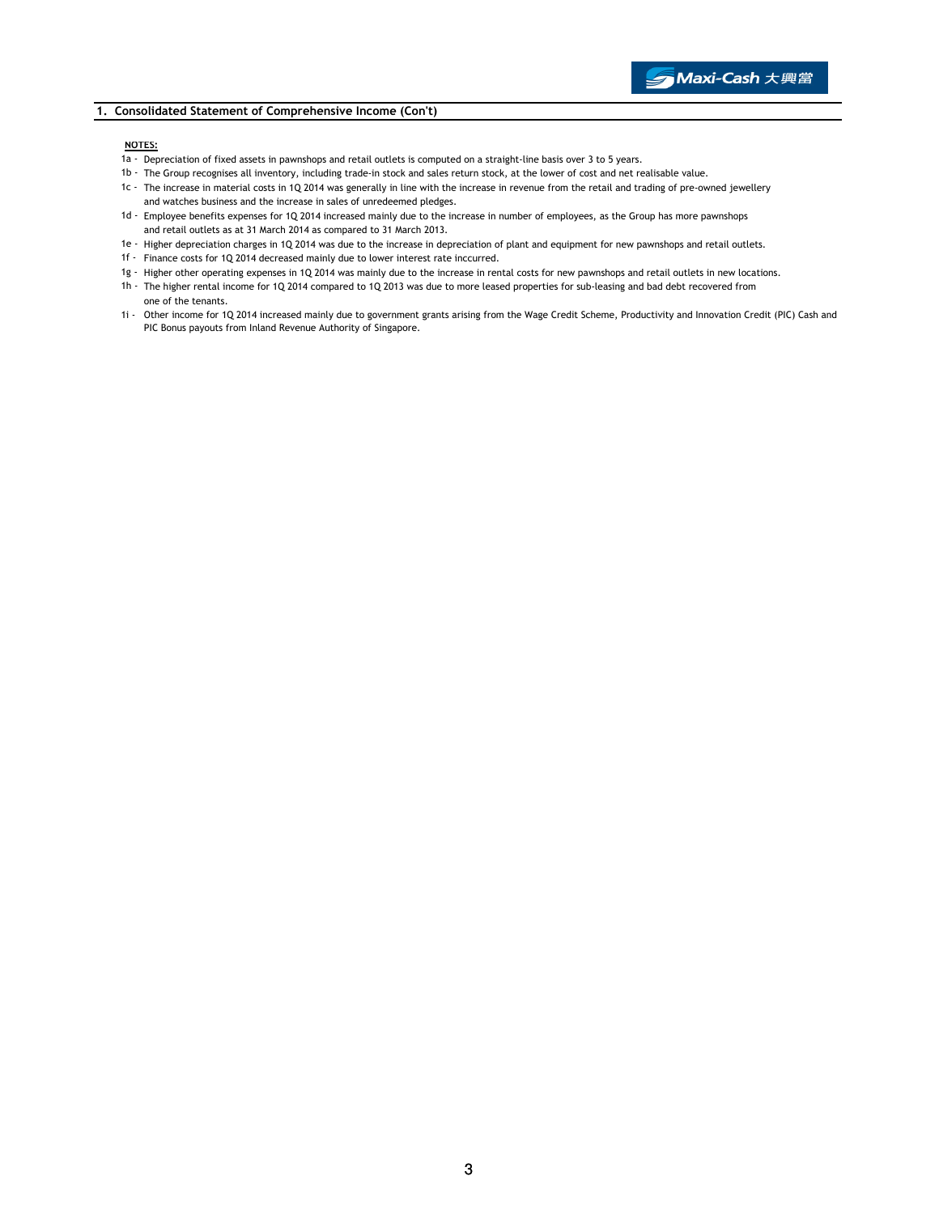## 1. Consolidated Statement of Comprehensive Income (Con't)

#### NOTES:

- 1a Depreciation of fixed assets in pawnshops and retail outlets is computed on a straight-line basis over 3 to 5 years.
- 1b The Group recognises all inventory, including trade-in stock and sales return stock, at the lower of cost and net realisable value.
- 1c The increase in material costs in 1Q 2014 was generally in line with the increase in revenue from the retail and trading of pre-owned jewellery and watches business and the increase in sales of unredeemed pledges.
- 1d Employee benefits expenses for 1Q 2014 increased mainly due to the increase in number of employees, as the Group has more pawnshops and retail outlets as at 31 March 2014 as compared to 31 March 2013.
- 1e Higher depreciation charges in 1Q 2014 was due to the increase in depreciation of plant and equipment for new pawnshops and retail outlets.
- 1f Finance costs for 1Q 2014 decreased mainly due to lower interest rate inccurred.
- 1g Higher other operating expenses in 1Q 2014 was mainly due to the increase in rental costs for new pawnshops and retail outlets in new locations.
- 1h The higher rental income for 1Q 2014 compared to 1Q 2013 was due to more leased properties for sub-leasing and bad debt recovered from one of the tenants.
- 1i Other income for 1Q 2014 increased mainly due to government grants arising from the Wage Credit Scheme, Productivity and Innovation Credit (PIC) Cash and PIC Bonus payouts from Inland Revenue Authority of Singapore.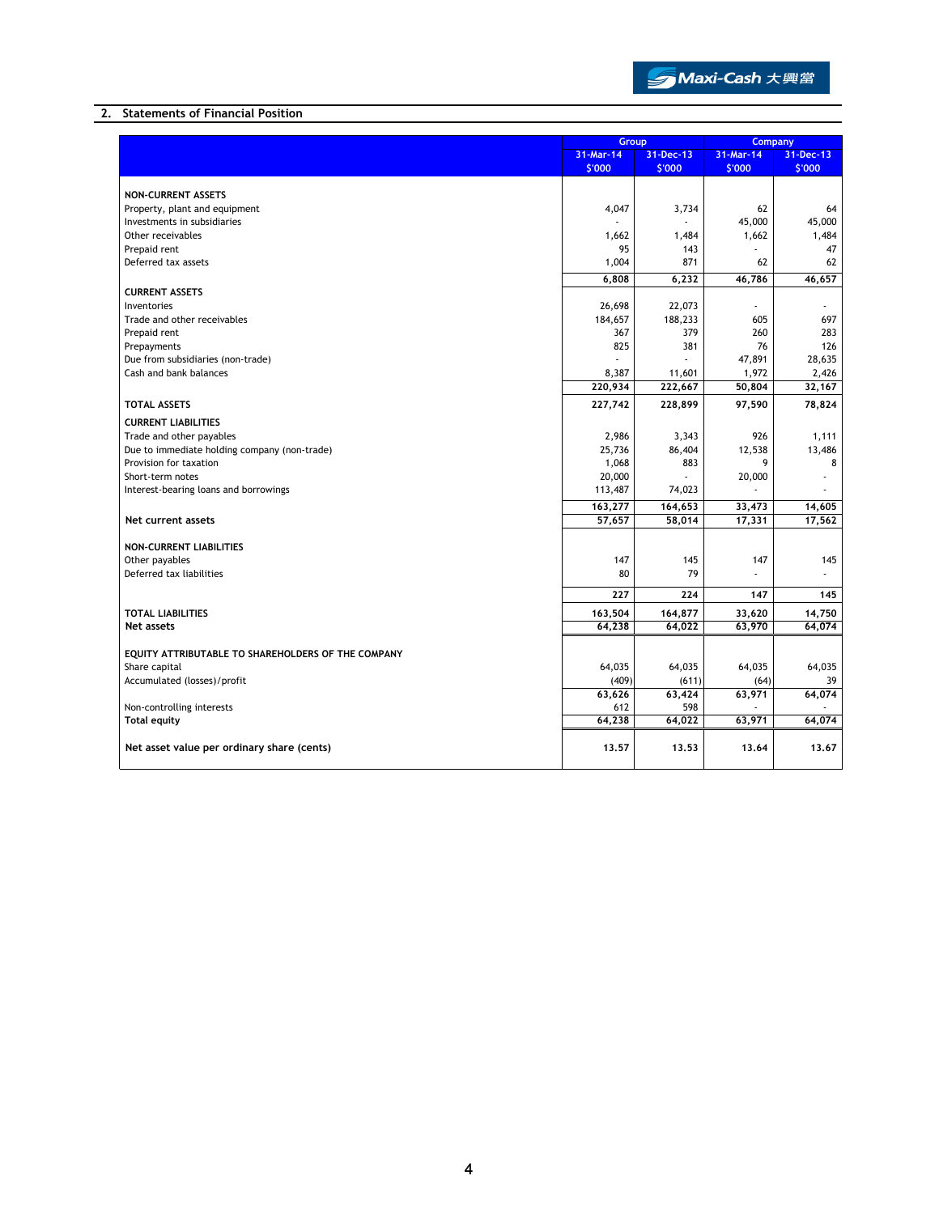

## 2. Statements of Financial Position

|                                                    | Group                  |         | Company   |           |
|----------------------------------------------------|------------------------|---------|-----------|-----------|
|                                                    | 31-Mar-14<br>31-Dec-13 |         | 31-Mar-14 | 31-Dec-13 |
|                                                    | \$'000                 | \$'000  | \$'000    | \$'000    |
|                                                    |                        |         |           |           |
| <b>NON-CURRENT ASSETS</b>                          |                        |         |           |           |
| Property, plant and equipment                      | 4,047                  | 3,734   | 62        | 64        |
| Investments in subsidiaries                        |                        |         | 45,000    | 45,000    |
| Other receivables                                  | 1,662                  | 1,484   | 1,662     | 1,484     |
| Prepaid rent                                       | 95                     | 143     |           | 47        |
| Deferred tax assets                                | 1,004                  | 871     | 62        | 62        |
|                                                    | 6,808                  | 6,232   | 46,786    | 46,657    |
| <b>CURRENT ASSETS</b>                              |                        |         |           |           |
| Inventories                                        | 26,698                 | 22,073  | ٠         | $\sim$    |
| Trade and other receivables                        | 184,657                | 188,233 | 605       | 697       |
| Prepaid rent                                       | 367                    | 379     | 260       | 283       |
| Prepayments                                        | 825                    | 381     | 76        | 126       |
| Due from subsidiaries (non-trade)                  |                        |         | 47,891    | 28,635    |
| Cash and bank balances                             | 8,387                  | 11,601  | 1,972     | 2,426     |
|                                                    | 220,934                | 222,667 | 50,804    | 32,167    |
| <b>TOTAL ASSETS</b>                                | 227,742                | 228,899 | 97,590    | 78,824    |
| <b>CURRENT LIABILITIES</b>                         |                        |         |           |           |
| Trade and other payables                           | 2,986                  | 3,343   | 926       | 1,111     |
| Due to immediate holding company (non-trade)       | 25,736                 | 86,404  | 12,538    | 13,486    |
| Provision for taxation                             | 1,068                  | 883     | 9         | 8         |
| Short-term notes                                   | 20,000                 |         | 20,000    |           |
| Interest-bearing loans and borrowings              | 113,487                | 74,023  |           |           |
|                                                    | 163,277                | 164,653 | 33,473    | 14,605    |
| Net current assets                                 | 57,657                 | 58,014  | 17,331    | 17,562    |
|                                                    |                        |         |           |           |
| <b>NON-CURRENT LIABILITIES</b>                     |                        |         |           |           |
| Other payables                                     | 147                    | 145     | 147       | 145       |
| Deferred tax liabilities                           | 80                     | 79      |           |           |
|                                                    | 227                    | 224     | 147       | 145       |
| <b>TOTAL LIABILITIES</b>                           | 163,504                | 164,877 | 33,620    | 14,750    |
| Net assets                                         | 64.238                 | 64,022  | 63,970    | 64.074    |
|                                                    |                        |         |           |           |
| EOUITY ATTRIBUTABLE TO SHAREHOLDERS OF THE COMPANY |                        |         |           |           |
| Share capital                                      | 64,035                 | 64,035  | 64,035    | 64,035    |
| Accumulated (losses)/profit                        | (409)                  | (611)   | (64)      | 39        |
|                                                    | 63,626                 | 63,424  | 63,971    | 64,074    |
| Non-controlling interests                          | 612                    | 598     |           |           |
| <b>Total equity</b>                                | 64,238                 | 64,022  | 63,971    | 64,074    |
|                                                    |                        |         |           |           |
| Net asset value per ordinary share (cents)         | 13.57                  | 13.53   | 13.64     | 13.67     |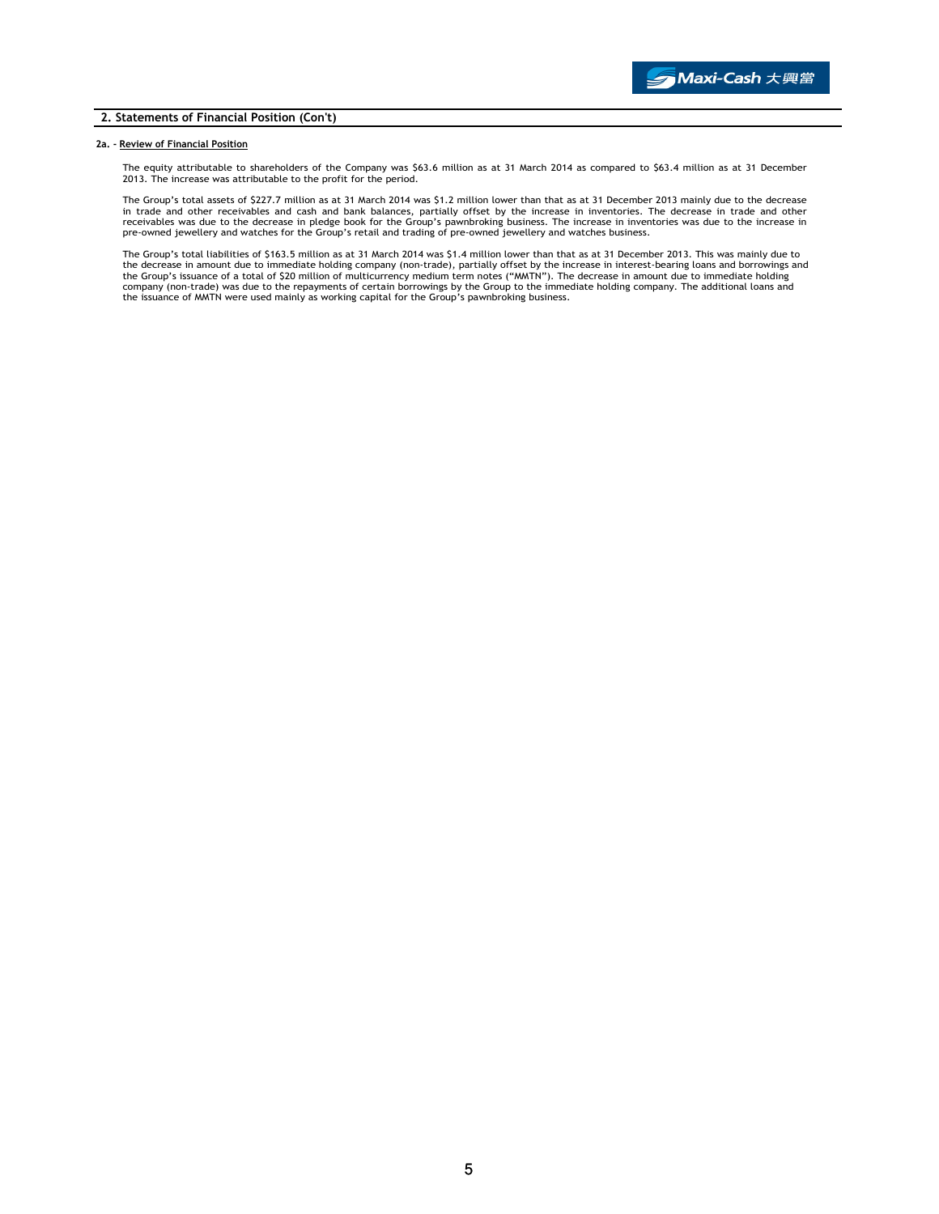## 2. Statements of Financial Position (Con't)

#### 2a. - Review of Financial Position

The equity attributable to shareholders of the Company was \$63.6 million as at 31 March 2014 as compared to \$63.4 million as at 31 December 2013. The increase was attributable to the profit for the period.

The Group's total assets of \$227.7 million as at 31 March 2014 was \$1.2 million lower than that as at 31 December 2013 mainly due to the decrease<br>in trade and other receivables and cash and bank balances, partially offset pre-owned jewellery and watches for the Group's retail and trading of pre-owned jewellery and watches business.

The Group's total liabilities of \$163.5 million as at 31 March 2014 was \$1.4 million lower than that as at 31 December 2013. This was mainly due to the decrease in amount due to immediate holding company (non-trade), partially offset by the increase in interest-bearing loans and borrowings and<br>the Group's issuance of a total of \$20 million of multicurrency medium term the issuance of MMTN were used mainly as working capital for the Group's pawnbroking business.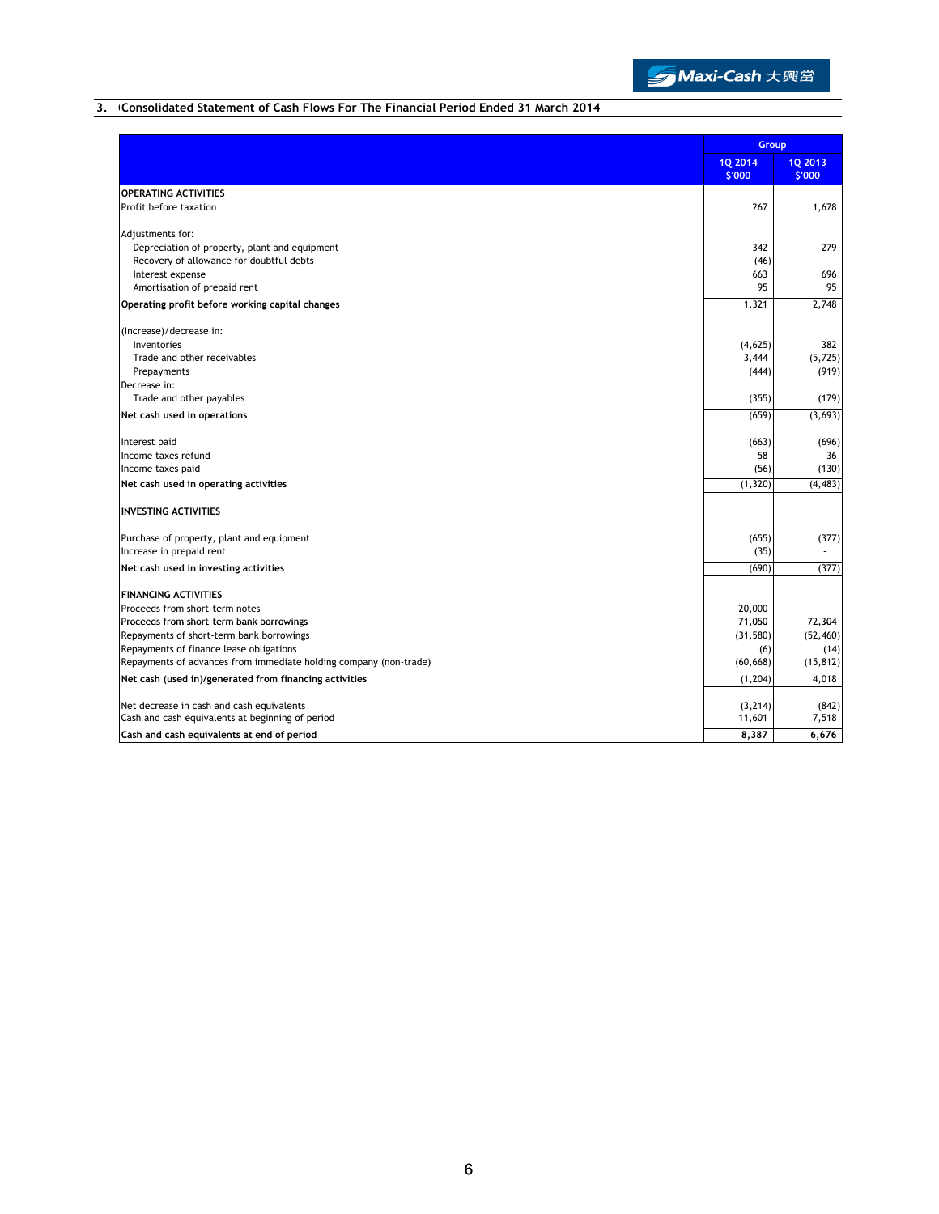

# 3. Consolidated Statement of Cash Flows For The Financial Period Ended 31 March 2014

|                                                                   | Group             |                          |
|-------------------------------------------------------------------|-------------------|--------------------------|
|                                                                   | 10 2014<br>\$'000 | <b>1Q 2013</b><br>\$'000 |
| <b>OPERATING ACTIVITIES</b>                                       |                   |                          |
| Profit before taxation                                            | 267               | 1,678                    |
| Adjustments for:                                                  |                   |                          |
| Depreciation of property, plant and equipment                     | 342               | 279                      |
| Recovery of allowance for doubtful debts                          | (46)              |                          |
| Interest expense                                                  | 663               | 696                      |
| Amortisation of prepaid rent                                      | 95                | 95                       |
| Operating profit before working capital changes                   | 1,321             | 2,748                    |
| (Increase)/decrease in:                                           |                   |                          |
| Inventories                                                       | (4,625)           | 382                      |
| Trade and other receivables                                       | 3,444             | (5, 725)                 |
| Prepayments                                                       | (444)             | (919)                    |
| Decrease in:                                                      |                   |                          |
| Trade and other payables                                          | (355)             | (179)                    |
| Net cash used in operations                                       | (659)             | (3,693)                  |
| Interest paid                                                     | (663)             | (696)                    |
| Income taxes refund                                               | 58                | 36                       |
| Income taxes paid                                                 | (56)              | (130)                    |
| Net cash used in operating activities                             | (1, 320)          | (4, 483)                 |
| <b>INVESTING ACTIVITIES</b>                                       |                   |                          |
| Purchase of property, plant and equipment                         | (655)             | (377)                    |
| Increase in prepaid rent                                          | (35)              |                          |
| Net cash used in investing activities                             | (690)             | (377)                    |
| <b>FINANCING ACTIVITIES</b>                                       |                   |                          |
| Proceeds from short-term notes                                    | 20,000            |                          |
| Proceeds from short-term bank borrowings                          | 71,050            | 72,304                   |
| Repayments of short-term bank borrowings                          | (31, 580)         | (52, 460)                |
| Repayments of finance lease obligations                           | (6)               | (14)                     |
| Repayments of advances from immediate holding company (non-trade) | (60, 668)         | (15, 812)                |
| Net cash (used in)/generated from financing activities            | (1, 204)          | 4,018                    |
| Net decrease in cash and cash equivalents                         | (3, 214)          | (842)                    |
| Cash and cash equivalents at beginning of period                  | 11,601            | 7,518                    |
| Cash and cash equivalents at end of period                        | 8,387             | 6,676                    |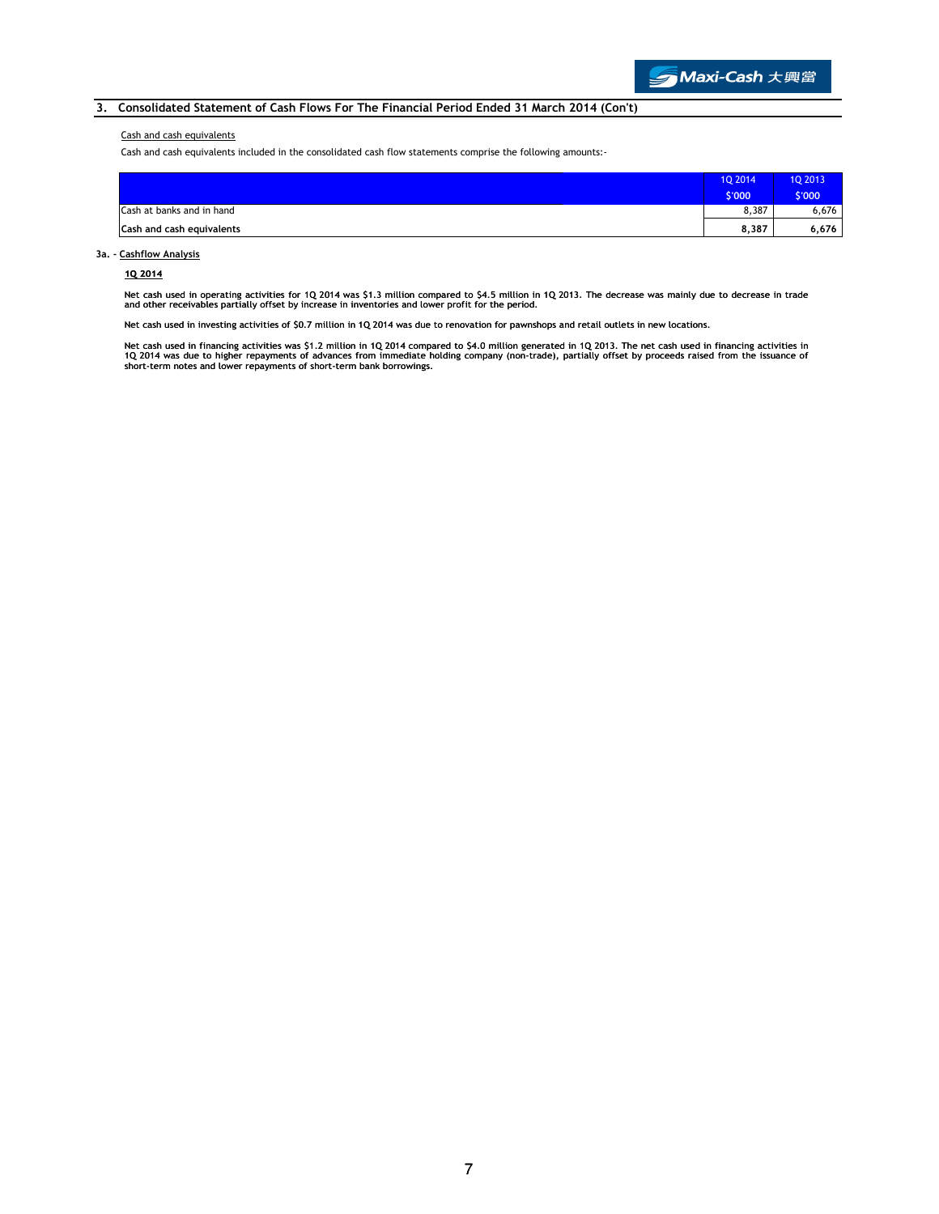## 3. Consolidated Statement of Cash Flows For The Financial Period Ended 31 March 2014 (Con't)

#### Cash and cash equivalents

Cash and cash equivalents included in the consolidated cash flow statements comprise the following amounts:-

|                           | 1Q 2014 | <b>1Q 2013</b> |
|---------------------------|---------|----------------|
|                           | \$'000  | \$'000         |
| Cash at banks and in hand | 8,387   | 6,676          |
| Cash and cash equivalents | 8,387   | 6,676          |

### 3a. - Cashflow Analysis

#### 1Q 2014

Net cash used in operating activities for 1Q 2014 was \$1.3 million compared to \$4.5 million in 1Q 2013. The decrease was mainly due to decrease in trade<br>and other receivables partially offset by increase in inventories and

Net cash used in investing activities of \$0.7 million in 1Q 2014 was due to renovation for pawnshops and retail outlets in new locations.

Net cash used in financing activities was \$1.2 million in 1Q 2014 compared to \$4.0 million generated in 1Q 2013. The net cash used in financing activities in<br>1Q 2014 was due to higher repayments of advances from immediate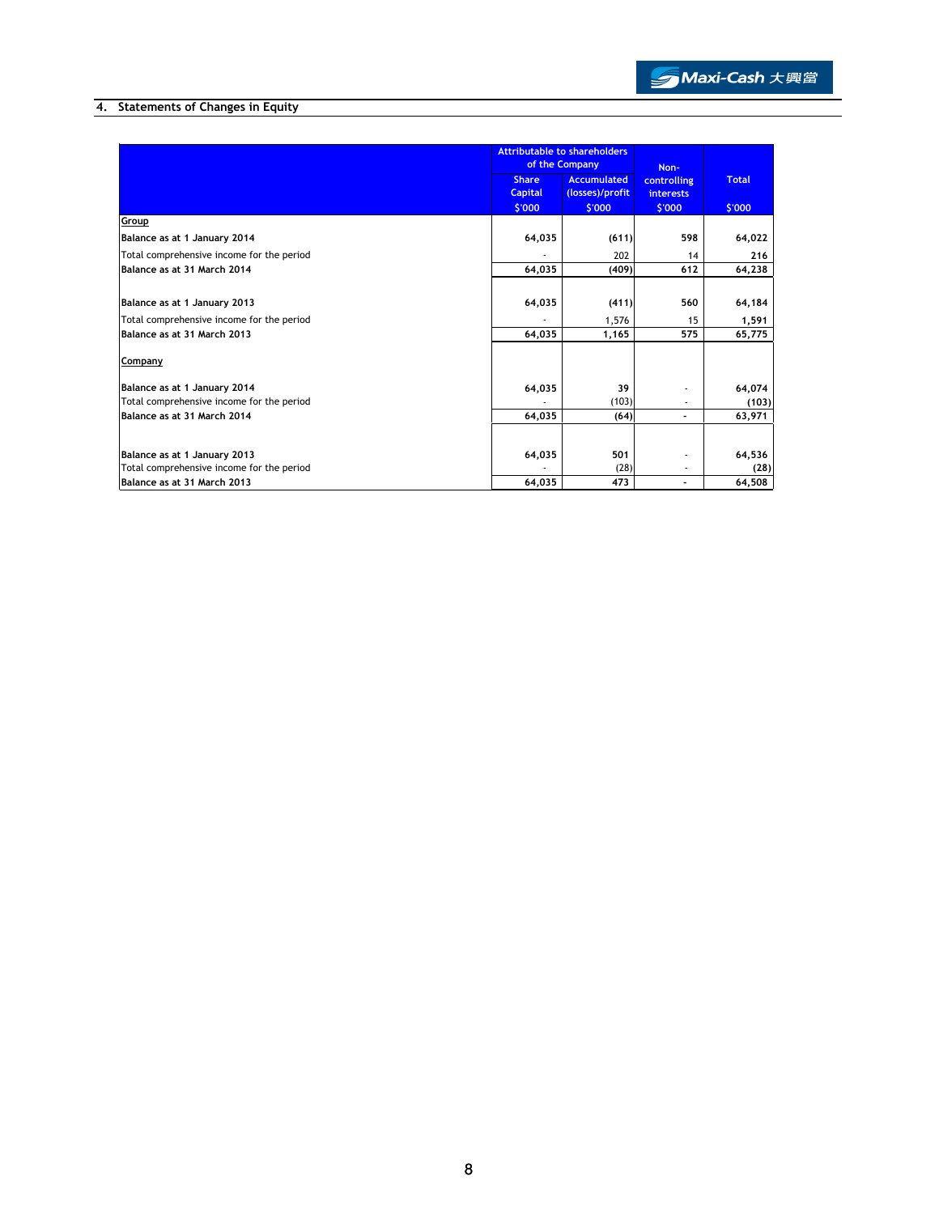# 4. Statements of Changes in Equity

|                                           |                                | <b>Attributable to shareholders</b><br>of the Company |                                 |              |
|-------------------------------------------|--------------------------------|-------------------------------------------------------|---------------------------------|--------------|
|                                           | <b>Share</b><br><b>Capital</b> | <b>Accumulated</b><br>(losses)/profit                 | controlling<br><b>interests</b> | <b>Total</b> |
|                                           | \$'000                         | \$'000                                                | \$'000                          | \$'000       |
| Group                                     |                                |                                                       |                                 |              |
| Balance as at 1 January 2014              | 64,035                         | (611)                                                 | 598                             | 64,022       |
| Total comprehensive income for the period |                                | 202                                                   | 14                              | 216          |
| Balance as at 31 March 2014               | 64,035                         | (409)                                                 | 612                             | 64,238       |
| Balance as at 1 January 2013              | 64,035                         | (411)                                                 | 560                             | 64,184       |
| Total comprehensive income for the period |                                | 1,576                                                 | 15                              | 1,591        |
| Balance as at 31 March 2013               | 64,035                         | 1,165                                                 | 575                             | 65,775       |
| Company                                   |                                |                                                       |                                 |              |
| Balance as at 1 January 2014              | 64,035                         | 39                                                    |                                 | 64,074       |
| Total comprehensive income for the period |                                | (103)                                                 |                                 | (103)        |
| Balance as at 31 March 2014               | 64,035                         | (64)                                                  |                                 | 63,971       |
| Balance as at 1 January 2013              | 64,035                         | 501                                                   |                                 | 64,536       |
| Total comprehensive income for the period |                                | (28)                                                  | ٠                               | (28)         |
| Balance as at 31 March 2013               | 64,035                         | 473                                                   |                                 | 64,508       |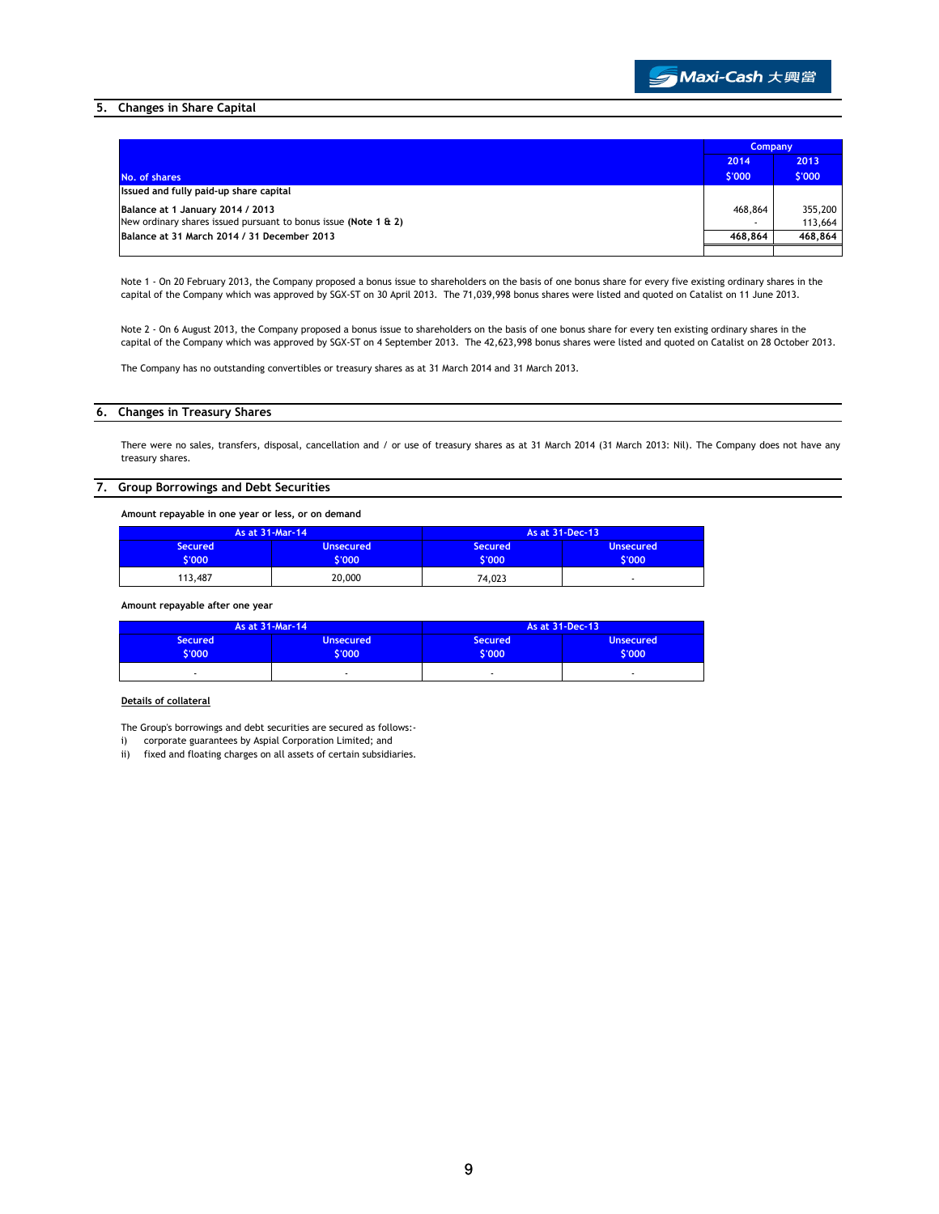

## 5. Changes in Share Capital

|                                                                 | <b>Company</b> |         |
|-----------------------------------------------------------------|----------------|---------|
|                                                                 | 2014           | 2013    |
| No. of shares                                                   | \$'000         | \$'000  |
| Issued and fully paid-up share capital                          |                |         |
| Balance at 1 January 2014 / 2013                                | 468,864        | 355,200 |
| New ordinary shares issued pursuant to bonus issue (Note 1 & 2) |                | 113,664 |
| Balance at 31 March 2014 / 31 December 2013                     | 468,864        | 468.864 |
|                                                                 |                |         |

Note 1 - On 20 February 2013, the Company proposed a bonus issue to shareholders on the basis of one bonus share for every five existing ordinary shares in the capital of the Company which was approved by SGX-ST on 30 April 2013. The 71,039,998 bonus shares were listed and quoted on Catalist on 11 June 2013.

Note 2 - On 6 August 2013, the Company proposed a bonus issue to shareholders on the basis of one bonus share for every ten existing ordinary shares in the capital of the Company which was approved by SGX-ST on 4 September 2013. The 42,623,998 bonus shares were listed and quoted on Catalist on 28 October 2013.

The Company has no outstanding convertibles or treasury shares as at 31 March 2014 and 31 March 2013.

#### 6. Changes in Treasury Shares

There were no sales, transfers, disposal, cancellation and / or use of treasury shares as at 31 March 2014 (31 March 2013: Nil). The Company does not have any treasury shares.

### 7. Group Borrowings and Debt Securities

Amount repayable in one year or less, or on demand

| As at 31-Mar-14          |                            |                          | As at 31-Dec-13            |
|--------------------------|----------------------------|--------------------------|----------------------------|
| <b>Secured</b><br>\$'000 | <b>Unsecured</b><br>\$'000 | <b>Secured</b><br>\$'000 | <b>Unsecured</b><br>\$'000 |
| 113.487                  | 20,000                     | 74,023                   |                            |

#### Amount repayable after one year

|                          | As at 31-Mar-14            |                           | As at 31-Dec-13            |
|--------------------------|----------------------------|---------------------------|----------------------------|
| <b>Secured</b><br>\$'000 | <b>Unsecured</b><br>\$'000 | <b>Secured</b><br>\$'000' | <b>Unsecured</b><br>\$'000 |
|                          |                            |                           | ٠                          |

### Details of collateral

The Group's borrowings and debt securities are secured as follows:-

- i) corporate guarantees by Aspial Corporation Limited; and
- ii) fixed and floating charges on all assets of certain subsidiaries.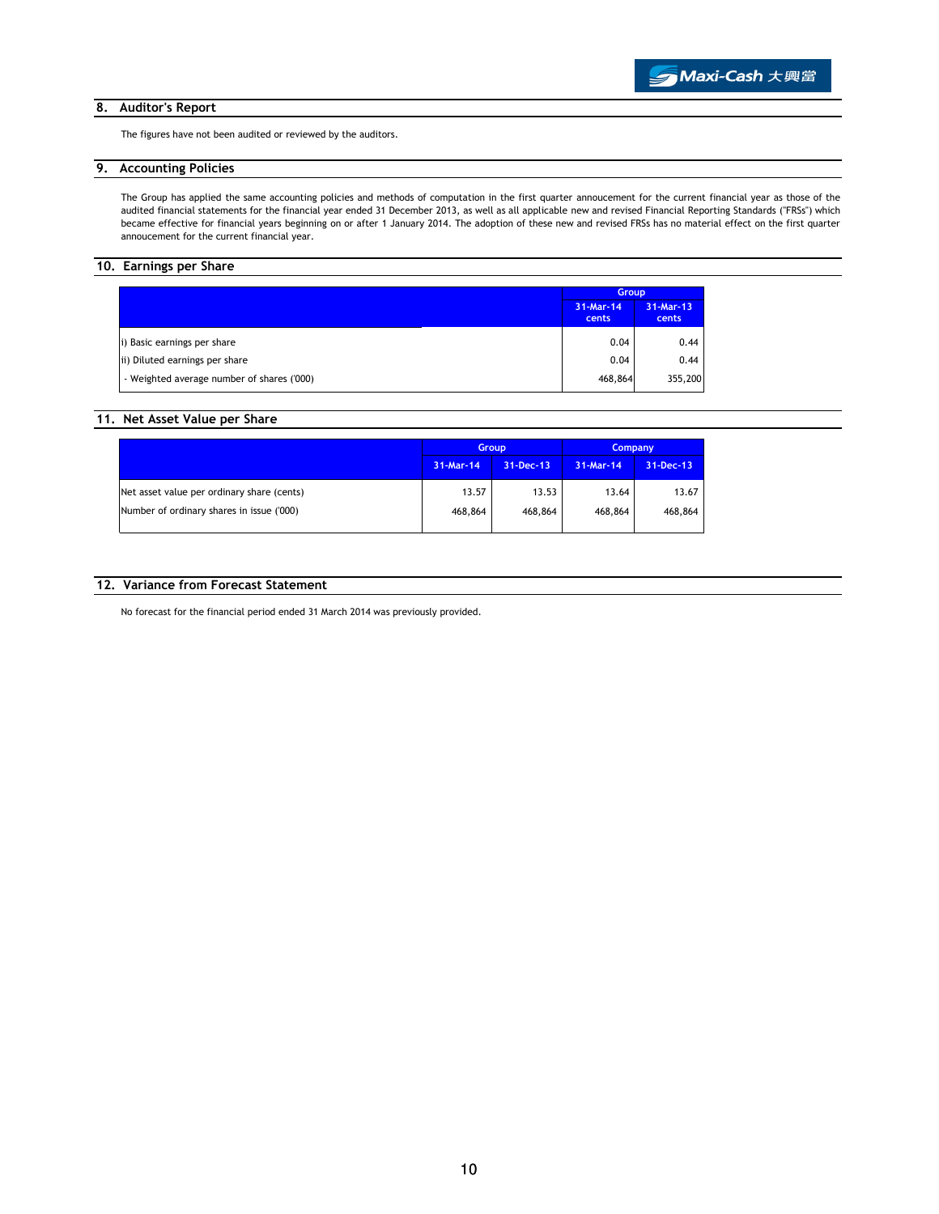## 8. Auditor's Report

The figures have not been audited or reviewed by the auditors.

# 9. Accounting Policies

The Group has applied the same accounting policies and methods of computation in the first quarter annoucement for the current financial year as those of the audited financial statements for the financial year ended 31 December 2013, as well as all applicable new and revised Financial Reporting Standards ("FRSs") which became effective for financial years beginning on or after 1 January 2014. The adoption of these new and revised FRSs has no material effect on the first quarter annoucement for the current financial year.

# 10. Earnings per Share

|                                            | <b>Group</b>       |                    |
|--------------------------------------------|--------------------|--------------------|
|                                            | 31-Mar-14<br>cents | 31-Mar-13<br>cents |
| i) Basic earnings per share                | 0.04               | 0.44               |
| ii) Diluted earnings per share             | 0.04               | 0.44               |
| - Weighted average number of shares ('000) | 468,864            | 355,200            |

## 11. Net Asset Value per Share

|                                            | <b>Group</b> |           | <b>Company</b> |           |
|--------------------------------------------|--------------|-----------|----------------|-----------|
|                                            | 31-Mar-14    | 31-Dec-13 | 31-Mar-14      | 31-Dec-13 |
| Net asset value per ordinary share (cents) | 13.57        | 13.53     | 13.64          | 13.67     |
| Number of ordinary shares in issue ('000)  | 468,864      | 468,864   | 468,864        | 468,864   |

### 12. Variance from Forecast Statement

No forecast for the financial period ended 31 March 2014 was previously provided.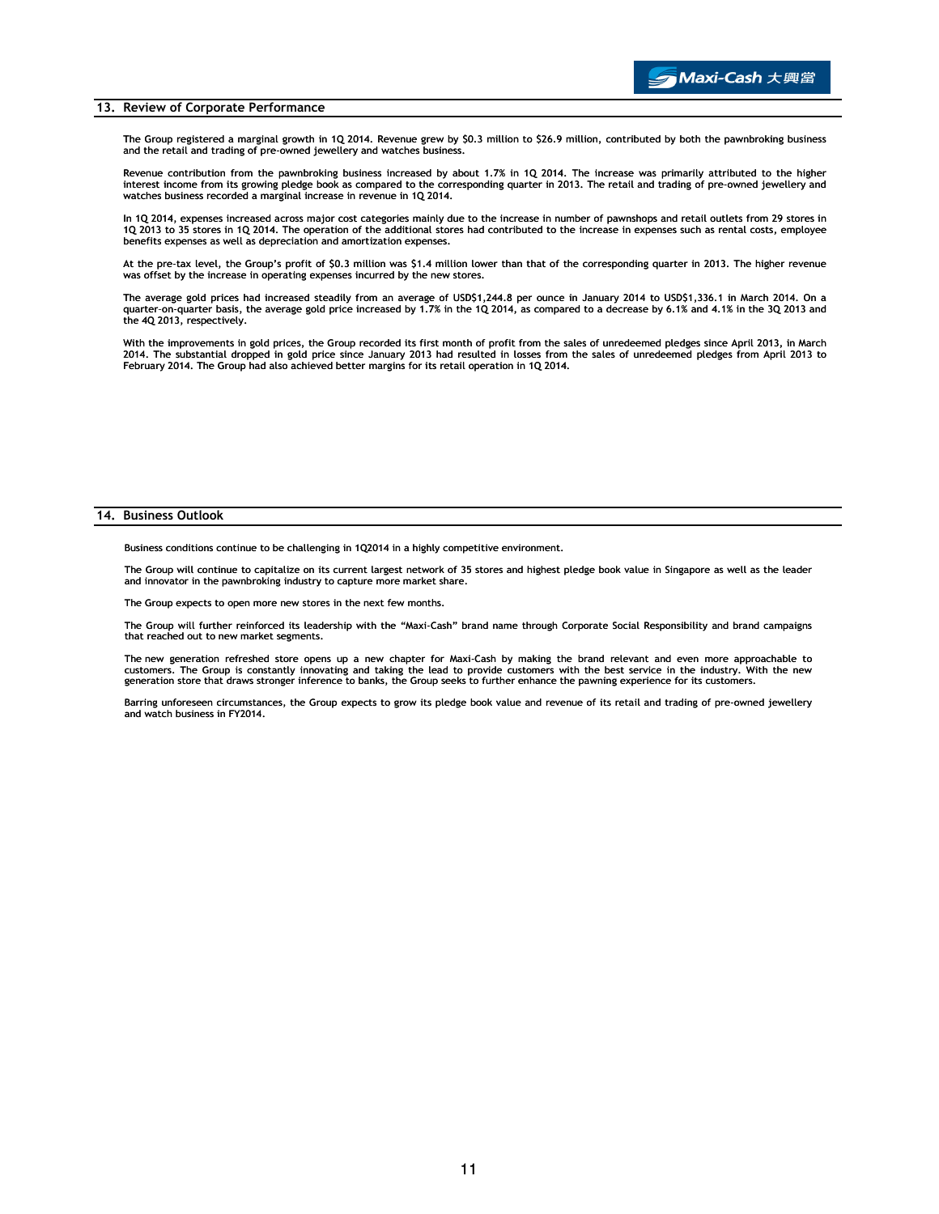#### 13. Review of Corporate Performance

The Group registered a marginal growth in 1Q 2014. Revenue grew by \$0.3 million to \$26.9 million, contributed by both the pawnbroking business and the retail and trading of pre-owned jewellery and watches business.

Revenue contribution from the pawnbroking business increased by about 1.7% in 1Q 2014. The increase was primarily attributed to the higher interest income from its growing pledge book as compared to the corresponding quarter in 2013. The retail and trading of pre-owned jewellery and watches business recorded a marginal increase in revenue in 1Q 2014.

In 1Q 2014, expenses increased across major cost categories mainly due to the increase in number of pawnshops and retail outlets from 29 stores in 1Q 2013 to 35 stores in 1Q 2014. The operation of the additional stores had contributed to the increase in expenses such as rental costs, employee benefits expenses as well as depreciation and amortization expenses.

At the pre-tax level, the Group's profit of \$0.3 million was \$1.4 million lower than that of the corresponding quarter in 2013. The higher revenue was offset by the increase in operating expenses incurred by the new stores.

The average gold prices had increased steadily from an average of USD\$1,244.8 per ounce in January 2014 to USD\$1,336.1 in March 2014. On a<br>quarter-on-quarter basis, the average gold price increased by 1.7% in the 1Q 2014, the 4Q 2013, respectively.

With the improvements in gold prices, the Group recorded its first month of profit from the sales of unredeemed pledges since April 2013, in March<br>2014. The substantial dropped in gold price since January 2013 had resulted February 2014. The Group had also achieved better margins for its retail operation in 1Q 2014.

#### 14. Business Outlook

Business conditions continue to be challenging in 1Q2014 in a highly competitive environment.

The Group will continue to capitalize on its current largest network of 35 stores and highest pledge book value in Singapore as well as the leader and innovator in the pawnbroking industry to capture more market share.

The Group expects to open more new stores in the next few months.

The Group will further reinforced its leadership with the "Maxi-Cash" brand name through Corporate Social Responsibility and brand campaigns that reached out to new market segments.

The new generation refreshed store opens up a new chapter for Maxi-Cash by making the brand relevant and even more approachable to customers. The Group is constantly innovating and taking the lead to provide customers with the best service in the industry. With the new<br>generation store that draws stronger inference to banks, the Group seeks to further

Barring unforeseen circumstances, the Group expects to grow its pledge book value and revenue of its retail and trading of pre-owned jewellery and watch business in FY2014.